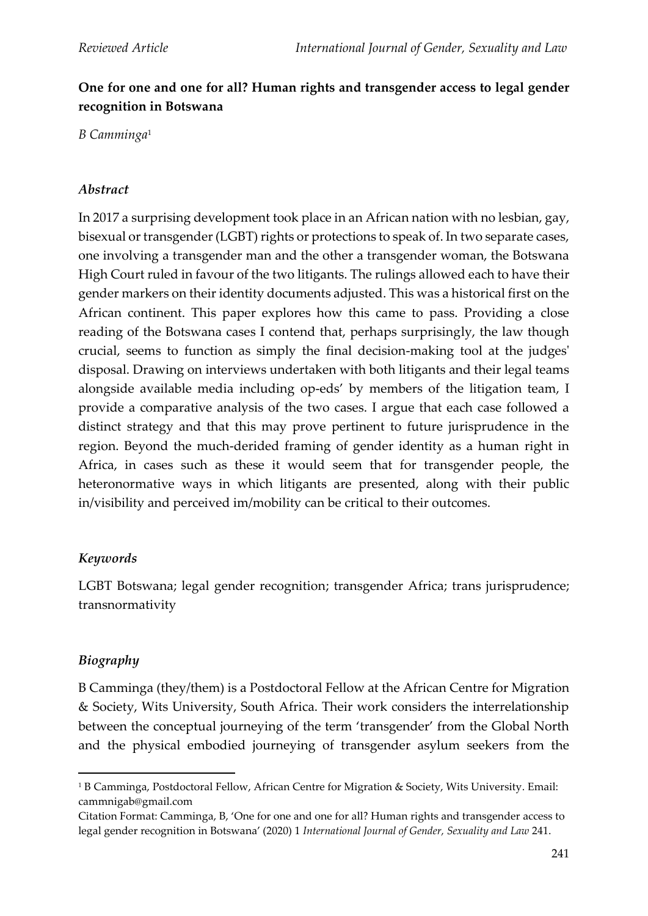# **One for one and one for all? Human rights and transgender access to legal gender recognition in Botswana**

*B Camminga*<sup>1</sup>

### *Abstract*

In 2017 a surprising development took place in an African nation with no lesbian, gay, bisexual or transgender (LGBT) rights or protections to speak of. In two separate cases, one involving a transgender man and the other a transgender woman, the Botswana High Court ruled in favour of the two litigants. The rulings allowed each to have their gender markers on their identity documents adjusted. This was a historical first on the African continent. This paper explores how this came to pass. Providing a close reading of the Botswana cases I contend that, perhaps surprisingly, the law though crucial, seems to function as simply the final decision-making tool at the judges' disposal. Drawing on interviews undertaken with both litigants and their legal teams alongside available media including op-eds' by members of the litigation team, I provide a comparative analysis of the two cases. I argue that each case followed a distinct strategy and that this may prove pertinent to future jurisprudence in the region. Beyond the much-derided framing of gender identity as a human right in Africa, in cases such as these it would seem that for transgender people, the heteronormative ways in which litigants are presented, along with their public in/visibility and perceived im/mobility can be critical to their outcomes.

## *Keywords*

LGBT Botswana; legal gender recognition; transgender Africa; trans jurisprudence; transnormativity

## *Biography*

B Camminga (they/them) is a Postdoctoral Fellow at the African Centre for Migration & Society, Wits University, South Africa. Their work considers the interrelationship between the conceptual journeying of the term 'transgender' from the Global North and the physical embodied journeying of transgender asylum seekers from the

<sup>&</sup>lt;sup>1</sup> B Camminga, Postdoctoral Fellow, African Centre for Migration & Society, Wits University. Email: cammnigab@gmail.com

Citation Format: Camminga, B, 'One for one and one for all? Human rights and transgender access to legal gender recognition in Botswana' (2020) 1 *International Journal of Gender, Sexuality and Law* 241.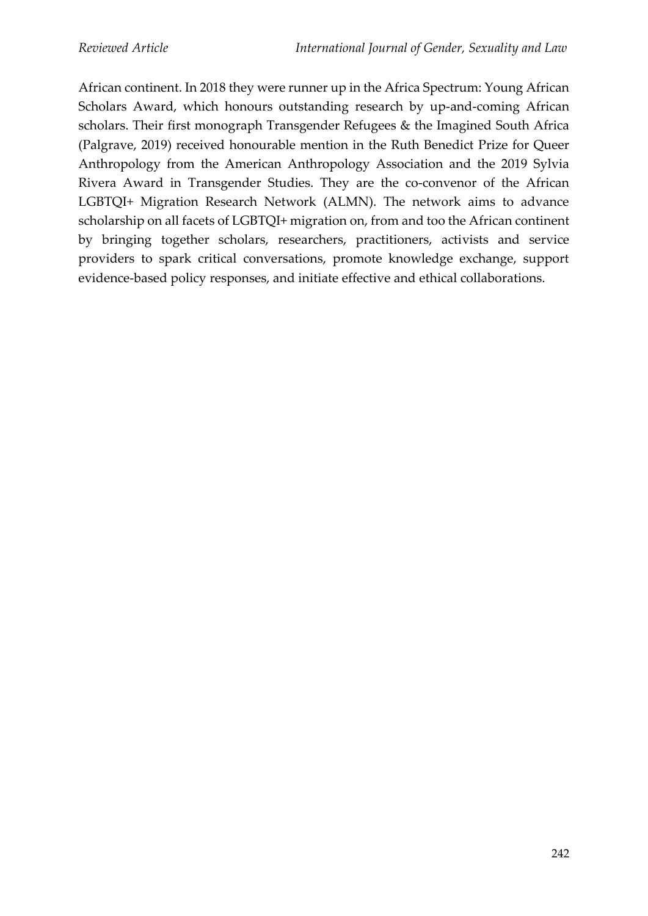African continent. In 2018 they were runner up in the Africa Spectrum: Young African Scholars Award, which honours outstanding research by up-and-coming African scholars. Their first monograph Transgender Refugees & the Imagined South Africa (Palgrave, 2019) received honourable mention in the Ruth Benedict Prize for Queer Anthropology from the American Anthropology Association and the 2019 Sylvia Rivera Award in Transgender Studies. They are the co-convenor of the African LGBTQI+ Migration Research Network (ALMN). The network aims to advance scholarship on all facets of LGBTQI+ migration on, from and too the African continent by bringing together scholars, researchers, practitioners, activists and service providers to spark critical conversations, promote knowledge exchange, support evidence-based policy responses, and initiate effective and ethical collaborations.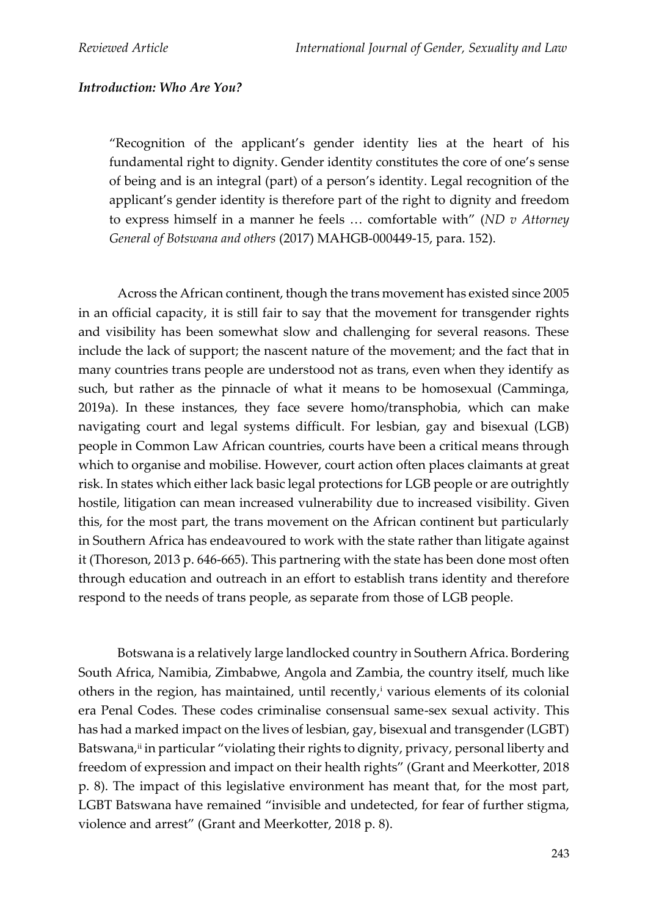## *Introduction: Who Are You?*

"Recognition of the applicant's gender identity lies at the heart of his fundamental right to dignity. Gender identity constitutes the core of one's sense of being and is an integral (part) of a person's identity. Legal recognition of the applicant's gender identity is therefore part of the right to dignity and freedom to express himself in a manner he feels … comfortable with" (*ND v Attorney General of Botswana and others* (2017) MAHGB-000449-15, para. 152).

Across the African continent, though the trans movement has existed since 2005 in an official capacity, it is still fair to say that the movement for transgender rights and visibility has been somewhat slow and challenging for several reasons. These include the lack of support; the nascent nature of the movement; and the fact that in many countries trans people are understood not as trans, even when they identify as such, but rather as the pinnacle of what it means to be homosexual (Camminga, 2019a). In these instances, they face severe homo/transphobia, which can make navigating court and legal systems difficult. For lesbian, gay and bisexual (LGB) people in Common Law African countries, courts have been a critical means through which to organise and mobilise. However, court action often places claimants at great risk. In states which either lack basic legal protections for LGB people or are outrightly hostile, litigation can mean increased vulnerability due to increased visibility. Given this, for the most part, the trans movement on the African continent but particularly in Southern Africa has endeavoured to work with the state rather than litigate against it (Thoreson, 2013 p. 646-665). This partnering with the state has been done most often through education and outreach in an effort to establish trans identity and therefore respond to the needs of trans people, as separate from those of LGB people.

Botswana is a relatively large landlocked country in Southern Africa. Bordering South Africa, Namibia, Zimbabwe, Angola and Zambia, the country itself, much like others in the region, has maintained, until recently,<sup>i</sup> various elements of its colonial era Penal Codes. These codes criminalise consensual same-sex sexual activity. This has had a marked impact on the lives of lesbian, gay, bisexual and transgender (LGBT) Batswana,<del>"</del> in particular "violating their rights to dignity, privacy, personal liberty and freedom of expression and impact on their health rights" (Grant and Meerkotter, 2018 p. 8). The impact of this legislative environment has meant that, for the most part, LGBT Batswana have remained "invisible and undetected, for fear of further stigma, violence and arrest" (Grant and Meerkotter, 2018 p. 8).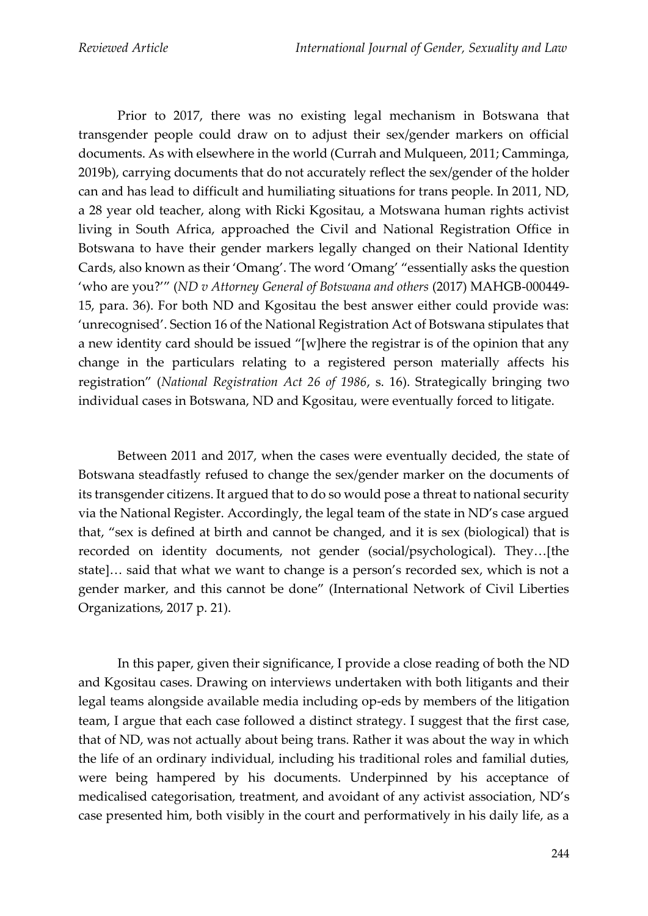Prior to 2017, there was no existing legal mechanism in Botswana that transgender people could draw on to adjust their sex/gender markers on official documents. As with elsewhere in the world (Currah and Mulqueen, 2011; Camminga, 2019b), carrying documents that do not accurately reflect the sex/gender of the holder can and has lead to difficult and humiliating situations for trans people. In 2011, ND, a 28 year old teacher, along with Ricki Kgositau, a Motswana human rights activist living in South Africa, approached the Civil and National Registration Office in Botswana to have their gender markers legally changed on their National Identity Cards, also known as their 'Omang'. The word 'Omang' "essentially asks the question 'who are you?'" (*ND v Attorney General of Botswana and others* (2017) MAHGB-000449- 15, para. 36). For both ND and Kgositau the best answer either could provide was: 'unrecognised'. Section 16 of the National Registration Act of Botswana stipulates that a new identity card should be issued "[w]here the registrar is of the opinion that any change in the particulars relating to a registered person materially affects his registration" (*National Registration Act 26 of 1986*, s. 16). Strategically bringing two individual cases in Botswana, ND and Kgositau, were eventually forced to litigate.

Between 2011 and 2017, when the cases were eventually decided, the state of Botswana steadfastly refused to change the sex/gender marker on the documents of its transgender citizens. It argued that to do so would pose a threat to national security via the National Register. Accordingly, the legal team of the state in ND's case argued that, "sex is defined at birth and cannot be changed, and it is sex (biological) that is recorded on identity documents, not gender (social/psychological). They…[the state]… said that what we want to change is a person's recorded sex, which is not a gender marker, and this cannot be done" (International Network of Civil Liberties Organizations, 2017 p. 21).

In this paper, given their significance, I provide a close reading of both the ND and Kgositau cases. Drawing on interviews undertaken with both litigants and their legal teams alongside available media including op-eds by members of the litigation team, I argue that each case followed a distinct strategy. I suggest that the first case, that of ND, was not actually about being trans. Rather it was about the way in which the life of an ordinary individual, including his traditional roles and familial duties, were being hampered by his documents. Underpinned by his acceptance of medicalised categorisation, treatment, and avoidant of any activist association, ND's case presented him, both visibly in the court and performatively in his daily life, as a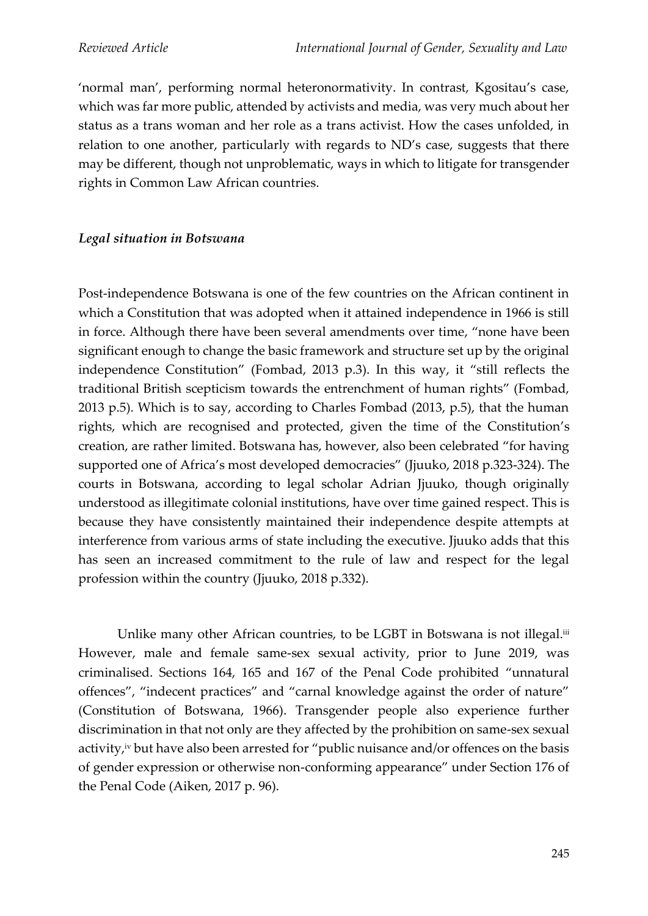'normal man', performing normal heteronormativity. In contrast, Kgositau's case, which was far more public, attended by activists and media, was very much about her status as a trans woman and her role as a trans activist. How the cases unfolded, in relation to one another, particularly with regards to ND's case, suggests that there may be different, though not unproblematic, ways in which to litigate for transgender rights in Common Law African countries.

### *Legal situation in Botswana*

Post-independence Botswana is one of the few countries on the African continent in which a Constitution that was adopted when it attained independence in 1966 is still in force. Although there have been several amendments over time, "none have been significant enough to change the basic framework and structure set up by the original independence Constitution" (Fombad, 2013 p.3). In this way, it "still reflects the traditional British scepticism towards the entrenchment of human rights" (Fombad, 2013 p.5). Which is to say, according to Charles Fombad (2013, p.5), that the human rights, which are recognised and protected, given the time of the Constitution's creation, are rather limited. Botswana has, however, also been celebrated "for having supported one of Africa's most developed democracies" (Jjuuko, 2018 p.323-324). The courts in Botswana, according to legal scholar Adrian Jjuuko, though originally understood as illegitimate colonial institutions, have over time gained respect. This is because they have consistently maintained their independence despite attempts at interference from various arms of state including the executive. Jjuuko adds that this has seen an increased commitment to the rule of law and respect for the legal profession within the country (Jjuuko, 2018 p.332).

Unlike many other African countries, to be LGBT in Botswana is not illegal.<sup>iii</sup> However, male and female same-sex sexual activity, prior to June 2019, was criminalised. Sections 164, 165 and 167 of the Penal Code prohibited "unnatural offences", "indecent practices" and "carnal knowledge against the order of nature" (Constitution of Botswana, 1966). Transgender people also experience further discrimination in that not only are they affected by the prohibition on same-sex sexual activity, iv but have also been arrested for "public nuisance and/or offences on the basis of gender expression or otherwise non-conforming appearance" under Section 176 of the Penal Code (Aiken, 2017 p. 96).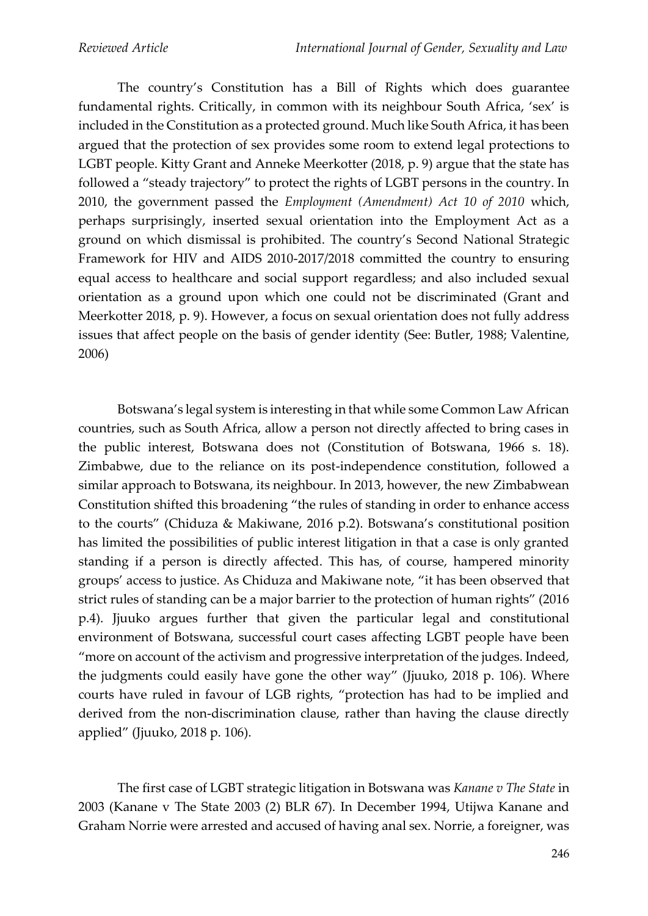The country's Constitution has a Bill of Rights which does guarantee fundamental rights. Critically, in common with its neighbour South Africa, 'sex' is included in the Constitution as a protected ground. Much like South Africa, it has been argued that the protection of sex provides some room to extend legal protections to LGBT people. Kitty Grant and Anneke Meerkotter (2018, p. 9) argue that the state has followed a "steady trajectory" to protect the rights of LGBT persons in the country. In 2010, the government passed the *Employment (Amendment) Act 10 of 2010* which, perhaps surprisingly, inserted sexual orientation into the Employment Act as a ground on which dismissal is prohibited. The country's Second National Strategic Framework for HIV and AIDS 2010-2017/2018 committed the country to ensuring equal access to healthcare and social support regardless; and also included sexual orientation as a ground upon which one could not be discriminated (Grant and Meerkotter 2018, p. 9). However, a focus on sexual orientation does not fully address issues that affect people on the basis of gender identity (See: Butler, 1988; Valentine, 2006)

Botswana's legal system is interesting in that while some Common Law African countries, such as South Africa, allow a person not directly affected to bring cases in the public interest, Botswana does not (Constitution of Botswana, 1966 s. 18). Zimbabwe, due to the reliance on its post-independence constitution, followed a similar approach to Botswana, its neighbour. In 2013, however, the new Zimbabwean Constitution shifted this broadening "the rules of standing in order to enhance access to the courts" (Chiduza & Makiwane, 2016 p.2). Botswana's constitutional position has limited the possibilities of public interest litigation in that a case is only granted standing if a person is directly affected. This has, of course, hampered minority groups' access to justice. As Chiduza and Makiwane note, "it has been observed that strict rules of standing can be a major barrier to the protection of human rights" (2016 p.4). Jjuuko argues further that given the particular legal and constitutional environment of Botswana, successful court cases affecting LGBT people have been "more on account of the activism and progressive interpretation of the judges. Indeed, the judgments could easily have gone the other way" (Jjuuko, 2018 p. 106). Where courts have ruled in favour of LGB rights, "protection has had to be implied and derived from the non-discrimination clause, rather than having the clause directly applied" (Jjuuko, 2018 p. 106).

The first case of LGBT strategic litigation in Botswana was *Kanane v The State* in 2003 (Kanane v The State 2003 (2) BLR 67). In December 1994, Utijwa Kanane and Graham Norrie were arrested and accused of having anal sex. Norrie, a foreigner, was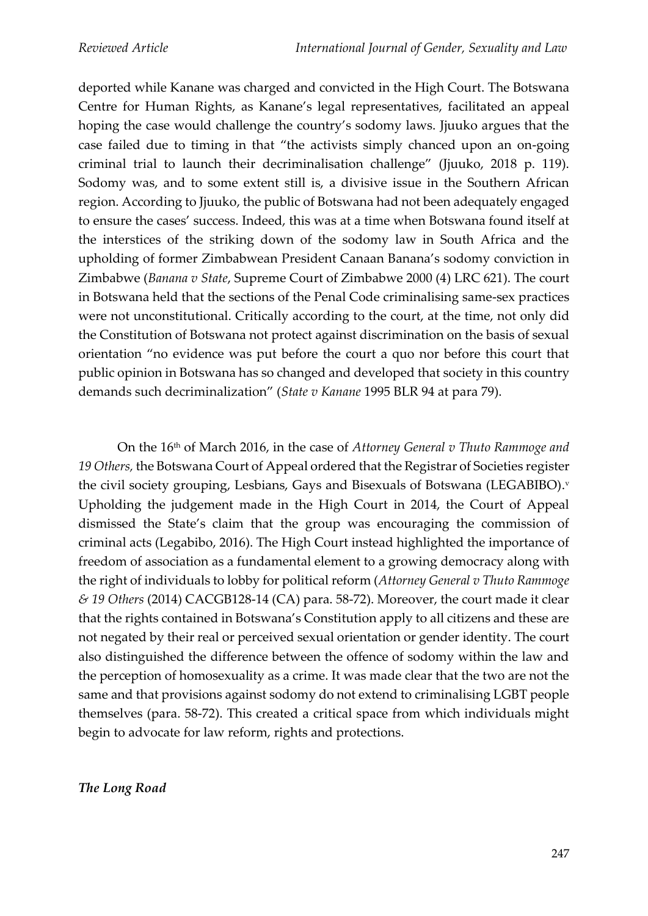deported while Kanane was charged and convicted in the High Court. The Botswana Centre for Human Rights, as Kanane's legal representatives, facilitated an appeal hoping the case would challenge the country's sodomy laws. Jjuuko argues that the case failed due to timing in that "the activists simply chanced upon an on-going criminal trial to launch their decriminalisation challenge" (Jjuuko, 2018 p. 119). Sodomy was, and to some extent still is, a divisive issue in the Southern African region. According to Jjuuko, the public of Botswana had not been adequately engaged to ensure the cases' success. Indeed, this was at a time when Botswana found itself at the interstices of the striking down of the sodomy law in South Africa and the upholding of former Zimbabwean President Canaan Banana's sodomy conviction in Zimbabwe (*Banana v State*, Supreme Court of Zimbabwe 2000 (4) LRC 621). The court in Botswana held that the sections of the Penal Code criminalising same-sex practices were not unconstitutional. Critically according to the court, at the time, not only did the Constitution of Botswana not protect against discrimination on the basis of sexual orientation "no evidence was put before the court a quo nor before this court that public opinion in Botswana has so changed and developed that society in this country demands such decriminalization" (*State v Kanane* 1995 BLR 94 at para 79).

On the 16th of March 2016, in the case of *Attorney General v Thuto Rammoge and 19 Others,* the Botswana Court of Appeal ordered that the Registrar of Societies register the civil society grouping, Lesbians, Gays and Bisexuals of Botswana (LEGABIBO). v Upholding the judgement made in the High Court in 2014, the Court of Appeal dismissed the State's claim that the group was encouraging the commission of criminal acts (Legabibo, 2016). The High Court instead highlighted the importance of freedom of association as a fundamental element to a growing democracy along with the right of individuals to lobby for political reform (*Attorney General v Thuto Rammoge & 19 Others* (2014) CACGB128-14 (CA) para. 58-72). Moreover, the court made it clear that the rights contained in Botswana's Constitution apply to all citizens and these are not negated by their real or perceived sexual orientation or gender identity. The court also distinguished the difference between the offence of sodomy within the law and the perception of homosexuality as a crime. It was made clear that the two are not the same and that provisions against sodomy do not extend to criminalising LGBT people themselves (para. 58-72). This created a critical space from which individuals might begin to advocate for law reform, rights and protections.

#### *The Long Road*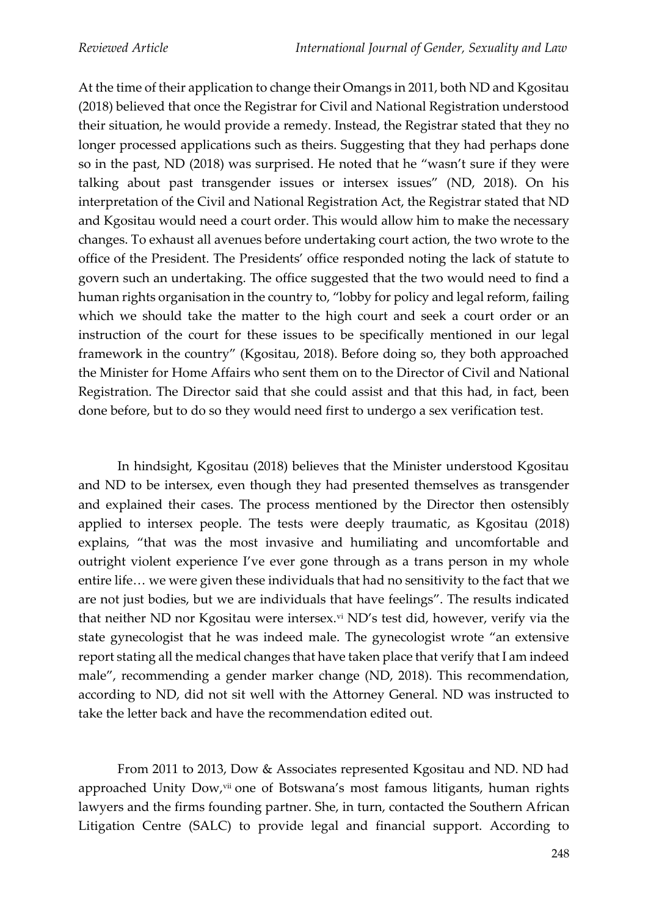At the time of their application to change their Omangs in 2011, both ND and Kgositau (2018) believed that once the Registrar for Civil and National Registration understood their situation, he would provide a remedy. Instead, the Registrar stated that they no longer processed applications such as theirs. Suggesting that they had perhaps done so in the past, ND (2018) was surprised. He noted that he "wasn't sure if they were talking about past transgender issues or intersex issues" (ND, 2018). On his interpretation of the Civil and National Registration Act, the Registrar stated that ND and Kgositau would need a court order. This would allow him to make the necessary changes. To exhaust all avenues before undertaking court action, the two wrote to the office of the President. The Presidents' office responded noting the lack of statute to govern such an undertaking. The office suggested that the two would need to find a human rights organisation in the country to, "lobby for policy and legal reform, failing which we should take the matter to the high court and seek a court order or an instruction of the court for these issues to be specifically mentioned in our legal framework in the country" (Kgositau, 2018). Before doing so, they both approached the Minister for Home Affairs who sent them on to the Director of Civil and National Registration. The Director said that she could assist and that this had, in fact, been done before, but to do so they would need first to undergo a sex verification test.

In hindsight, Kgositau (2018) believes that the Minister understood Kgositau and ND to be intersex, even though they had presented themselves as transgender and explained their cases. The process mentioned by the Director then ostensibly applied to intersex people. The tests were deeply traumatic, as Kgositau (2018) explains, "that was the most invasive and humiliating and uncomfortable and outright violent experience I've ever gone through as a trans person in my whole entire life… we were given these individuals that had no sensitivity to the fact that we are not just bodies, but we are individuals that have feelings". The results indicated that neither ND nor Kgositau were intersex.<sup>vi</sup> ND's test did, however, verify via the state gynecologist that he was indeed male. The gynecologist wrote "an extensive report stating all the medical changes that have taken place that verify that I am indeed male", recommending a gender marker change (ND, 2018). This recommendation, according to ND, did not sit well with the Attorney General. ND was instructed to take the letter back and have the recommendation edited out.

From 2011 to 2013, Dow & Associates represented Kgositau and ND. ND had approached Unity Dow, vii one of Botswana's most famous litigants, human rights lawyers and the firms founding partner. She, in turn, contacted the Southern African Litigation Centre (SALC) to provide legal and financial support. According to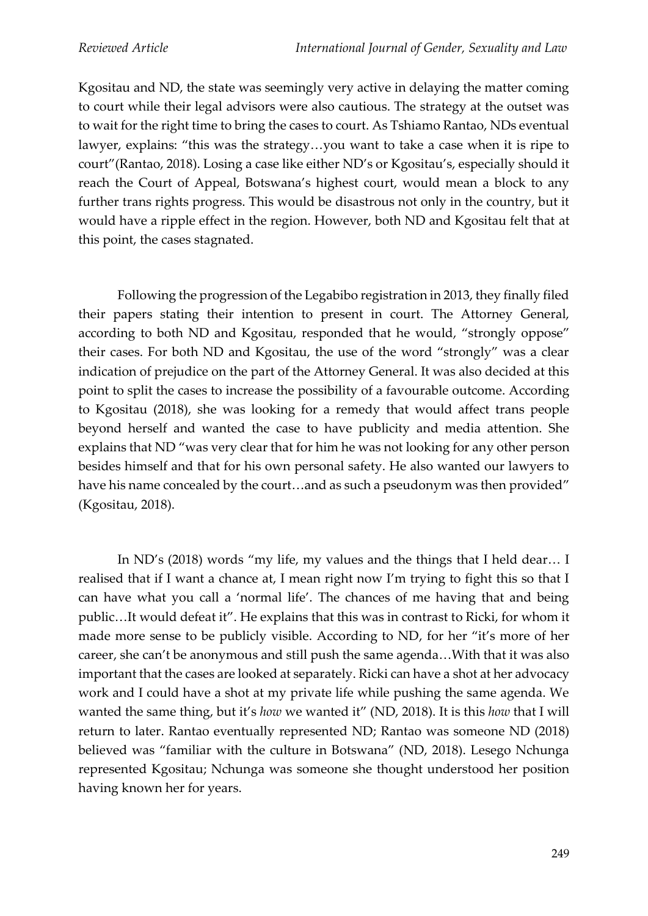Kgositau and ND, the state was seemingly very active in delaying the matter coming to court while their legal advisors were also cautious. The strategy at the outset was to wait for the right time to bring the cases to court. As Tshiamo Rantao, NDs eventual lawyer, explains: "this was the strategy…you want to take a case when it is ripe to court"(Rantao, 2018). Losing a case like either ND's or Kgositau's, especially should it reach the Court of Appeal, Botswana's highest court, would mean a block to any further trans rights progress. This would be disastrous not only in the country, but it would have a ripple effect in the region. However, both ND and Kgositau felt that at this point, the cases stagnated.

Following the progression of the Legabibo registration in 2013, they finally filed their papers stating their intention to present in court. The Attorney General, according to both ND and Kgositau, responded that he would, "strongly oppose" their cases. For both ND and Kgositau, the use of the word "strongly" was a clear indication of prejudice on the part of the Attorney General. It was also decided at this point to split the cases to increase the possibility of a favourable outcome. According to Kgositau (2018), she was looking for a remedy that would affect trans people beyond herself and wanted the case to have publicity and media attention. She explains that ND "was very clear that for him he was not looking for any other person besides himself and that for his own personal safety. He also wanted our lawyers to have his name concealed by the court…and as such a pseudonym was then provided" (Kgositau, 2018).

In ND's (2018) words "my life, my values and the things that I held dear… I realised that if I want a chance at, I mean right now I'm trying to fight this so that I can have what you call a 'normal life'. The chances of me having that and being public…It would defeat it". He explains that this was in contrast to Ricki, for whom it made more sense to be publicly visible. According to ND, for her "it's more of her career, she can't be anonymous and still push the same agenda…With that it was also important that the cases are looked at separately. Ricki can have a shot at her advocacy work and I could have a shot at my private life while pushing the same agenda. We wanted the same thing, but it's *how* we wanted it" (ND, 2018). It is this *how* that I will return to later. Rantao eventually represented ND; Rantao was someone ND (2018) believed was "familiar with the culture in Botswana" (ND, 2018). Lesego Nchunga represented Kgositau; Nchunga was someone she thought understood her position having known her for years.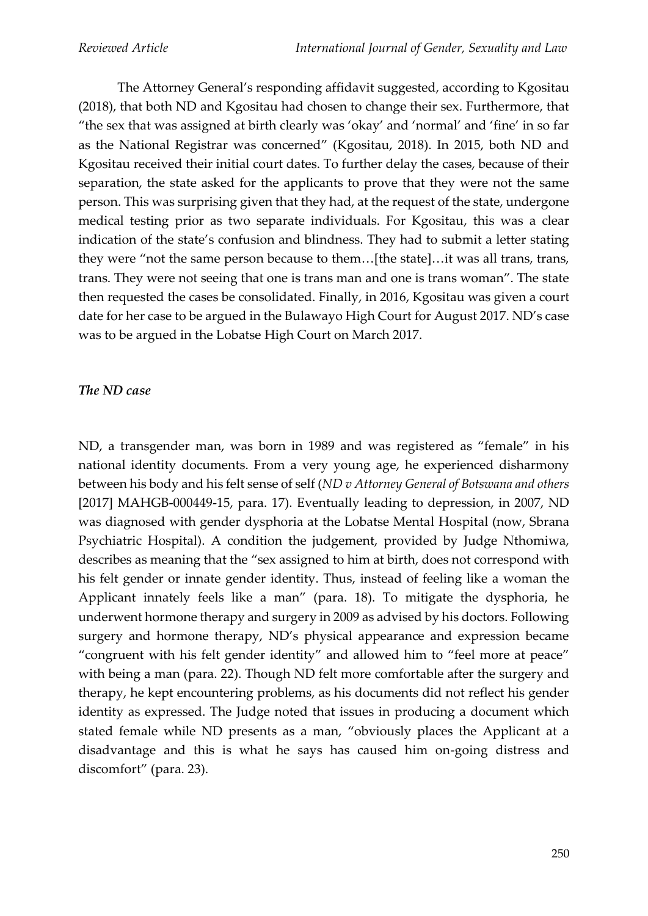The Attorney General's responding affidavit suggested, according to Kgositau (2018), that both ND and Kgositau had chosen to change their sex. Furthermore, that "the sex that was assigned at birth clearly was 'okay' and 'normal' and 'fine' in so far as the National Registrar was concerned" (Kgositau, 2018). In 2015, both ND and Kgositau received their initial court dates. To further delay the cases, because of their separation, the state asked for the applicants to prove that they were not the same person. This was surprising given that they had, at the request of the state, undergone medical testing prior as two separate individuals. For Kgositau, this was a clear indication of the state's confusion and blindness. They had to submit a letter stating they were "not the same person because to them…[the state]…it was all trans, trans, trans. They were not seeing that one is trans man and one is trans woman". The state then requested the cases be consolidated. Finally, in 2016, Kgositau was given a court date for her case to be argued in the Bulawayo High Court for August 2017. ND's case was to be argued in the Lobatse High Court on March 2017.

#### *The ND case*

ND, a transgender man, was born in 1989 and was registered as "female" in his national identity documents. From a very young age, he experienced disharmony between his body and his felt sense of self (*ND v Attorney General of Botswana and others* [2017] MAHGB-000449-15, para. 17). Eventually leading to depression, in 2007, ND was diagnosed with gender dysphoria at the Lobatse Mental Hospital (now, Sbrana Psychiatric Hospital). A condition the judgement, provided by Judge Nthomiwa, describes as meaning that the "sex assigned to him at birth, does not correspond with his felt gender or innate gender identity. Thus, instead of feeling like a woman the Applicant innately feels like a man" (para. 18). To mitigate the dysphoria, he underwent hormone therapy and surgery in 2009 as advised by his doctors. Following surgery and hormone therapy, ND's physical appearance and expression became "congruent with his felt gender identity" and allowed him to "feel more at peace" with being a man (para. 22). Though ND felt more comfortable after the surgery and therapy, he kept encountering problems, as his documents did not reflect his gender identity as expressed. The Judge noted that issues in producing a document which stated female while ND presents as a man, "obviously places the Applicant at a disadvantage and this is what he says has caused him on-going distress and discomfort" (para. 23).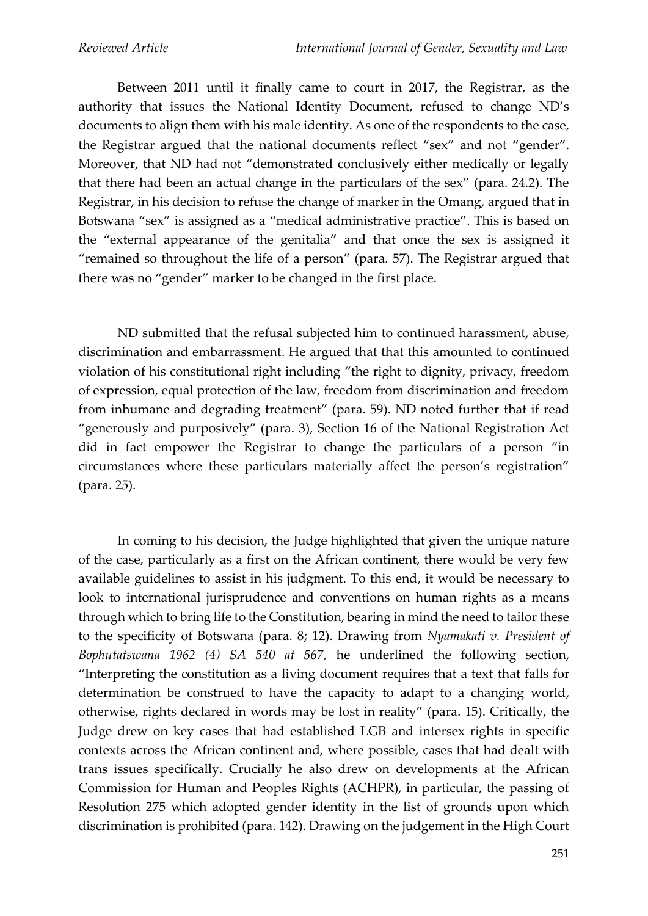Between 2011 until it finally came to court in 2017, the Registrar, as the authority that issues the National Identity Document, refused to change ND's documents to align them with his male identity. As one of the respondents to the case, the Registrar argued that the national documents reflect "sex" and not "gender". Moreover, that ND had not "demonstrated conclusively either medically or legally that there had been an actual change in the particulars of the sex" (para. 24.2). The Registrar, in his decision to refuse the change of marker in the Omang, argued that in Botswana "sex" is assigned as a "medical administrative practice". This is based on the "external appearance of the genitalia" and that once the sex is assigned it "remained so throughout the life of a person" (para. 57). The Registrar argued that there was no "gender" marker to be changed in the first place.

ND submitted that the refusal subjected him to continued harassment, abuse, discrimination and embarrassment. He argued that that this amounted to continued violation of his constitutional right including "the right to dignity, privacy, freedom of expression, equal protection of the law, freedom from discrimination and freedom from inhumane and degrading treatment" (para. 59). ND noted further that if read "generously and purposively" (para. 3), Section 16 of the National Registration Act did in fact empower the Registrar to change the particulars of a person "in circumstances where these particulars materially affect the person's registration" (para. 25).

In coming to his decision, the Judge highlighted that given the unique nature of the case, particularly as a first on the African continent, there would be very few available guidelines to assist in his judgment. To this end, it would be necessary to look to international jurisprudence and conventions on human rights as a means through which to bring life to the Constitution, bearing in mind the need to tailor these to the specificity of Botswana (para. 8; 12). Drawing from *Nyamakati v. President of Bophutatswana 1962 (4) SA 540 at 567,* he underlined the following section, "Interpreting the constitution as a living document requires that a text that falls for determination be construed to have the capacity to adapt to a changing world, otherwise, rights declared in words may be lost in reality" (para. 15). Critically, the Judge drew on key cases that had established LGB and intersex rights in specific contexts across the African continent and, where possible, cases that had dealt with trans issues specifically. Crucially he also drew on developments at the African Commission for Human and Peoples Rights (ACHPR), in particular, the passing of Resolution 275 which adopted gender identity in the list of grounds upon which discrimination is prohibited (para. 142). Drawing on the judgement in the High Court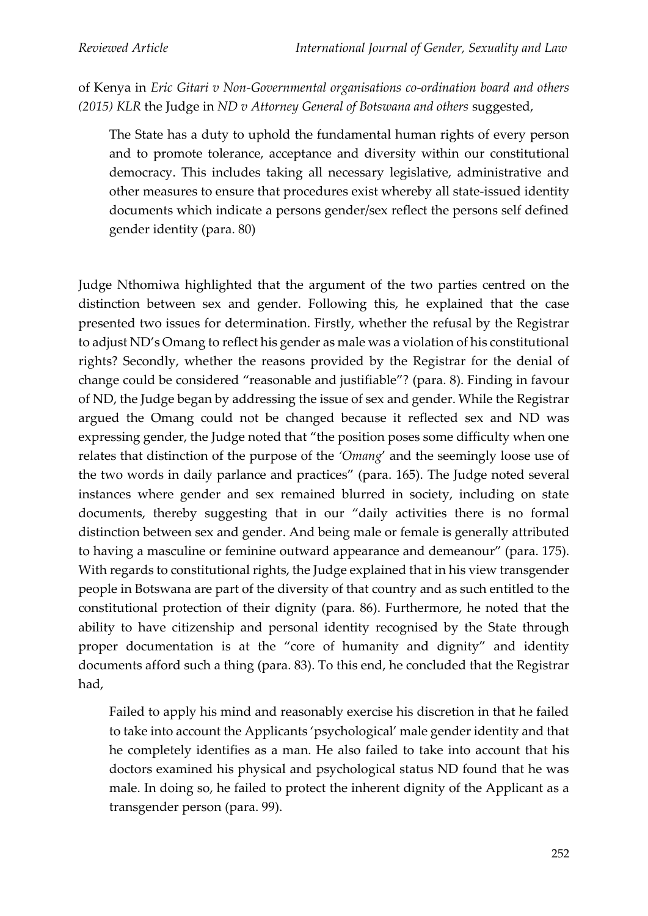of Kenya in *Eric Gitari v Non-Governmental organisations co-ordination board and others (2015) KLR* the Judge in *ND v Attorney General of Botswana and others* suggested,

The State has a duty to uphold the fundamental human rights of every person and to promote tolerance, acceptance and diversity within our constitutional democracy. This includes taking all necessary legislative, administrative and other measures to ensure that procedures exist whereby all state-issued identity documents which indicate a persons gender/sex reflect the persons self defined gender identity (para. 80)

Judge Nthomiwa highlighted that the argument of the two parties centred on the distinction between sex and gender. Following this, he explained that the case presented two issues for determination. Firstly, whether the refusal by the Registrar to adjust ND's Omang to reflect his gender as male was a violation of his constitutional rights? Secondly, whether the reasons provided by the Registrar for the denial of change could be considered "reasonable and justifiable"? (para. 8). Finding in favour of ND, the Judge began by addressing the issue of sex and gender. While the Registrar argued the Omang could not be changed because it reflected sex and ND was expressing gender, the Judge noted that "the position poses some difficulty when one relates that distinction of the purpose of the *'Omang*' and the seemingly loose use of the two words in daily parlance and practices" (para. 165). The Judge noted several instances where gender and sex remained blurred in society, including on state documents, thereby suggesting that in our "daily activities there is no formal distinction between sex and gender. And being male or female is generally attributed to having a masculine or feminine outward appearance and demeanour" (para. 175). With regards to constitutional rights, the Judge explained that in his view transgender people in Botswana are part of the diversity of that country and as such entitled to the constitutional protection of their dignity (para. 86). Furthermore, he noted that the ability to have citizenship and personal identity recognised by the State through proper documentation is at the "core of humanity and dignity" and identity documents afford such a thing (para. 83). To this end, he concluded that the Registrar had,

Failed to apply his mind and reasonably exercise his discretion in that he failed to take into account the Applicants 'psychological' male gender identity and that he completely identifies as a man. He also failed to take into account that his doctors examined his physical and psychological status ND found that he was male. In doing so, he failed to protect the inherent dignity of the Applicant as a transgender person (para. 99).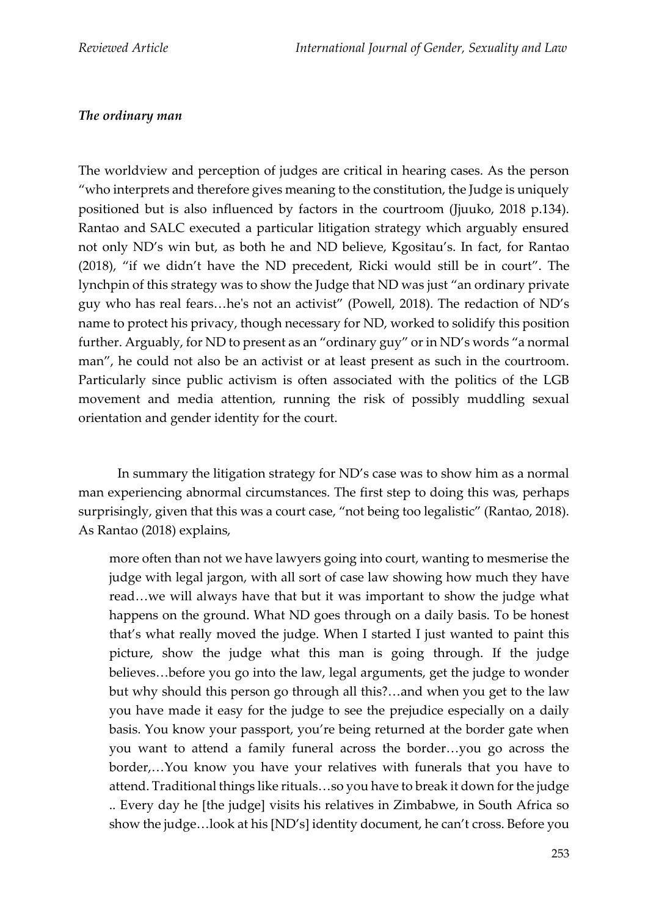# *The ordinary man*

The worldview and perception of judges are critical in hearing cases. As the person "who interprets and therefore gives meaning to the constitution, the Judge is uniquely positioned but is also influenced by factors in the courtroom (Jjuuko, 2018 p.134). Rantao and SALC executed a particular litigation strategy which arguably ensured not only ND's win but, as both he and ND believe, Kgositau's. In fact, for Rantao (2018), "if we didn't have the ND precedent, Ricki would still be in court". The lynchpin of this strategy was to show the Judge that ND was just "an ordinary private guy who has real fears…he's not an activist" (Powell, 2018). The redaction of ND's name to protect his privacy, though necessary for ND, worked to solidify this position further. Arguably, for ND to present as an "ordinary guy" or in ND's words "a normal man", he could not also be an activist or at least present as such in the courtroom. Particularly since public activism is often associated with the politics of the LGB movement and media attention, running the risk of possibly muddling sexual orientation and gender identity for the court.

In summary the litigation strategy for ND's case was to show him as a normal man experiencing abnormal circumstances. The first step to doing this was, perhaps surprisingly, given that this was a court case, "not being too legalistic" (Rantao, 2018). As Rantao (2018) explains,

more often than not we have lawyers going into court, wanting to mesmerise the judge with legal jargon, with all sort of case law showing how much they have read…we will always have that but it was important to show the judge what happens on the ground. What ND goes through on a daily basis. To be honest that's what really moved the judge. When I started I just wanted to paint this picture, show the judge what this man is going through. If the judge believes…before you go into the law, legal arguments, get the judge to wonder but why should this person go through all this?…and when you get to the law you have made it easy for the judge to see the prejudice especially on a daily basis. You know your passport, you're being returned at the border gate when you want to attend a family funeral across the border…you go across the border,…You know you have your relatives with funerals that you have to attend. Traditional things like rituals…so you have to break it down for the judge .. Every day he [the judge] visits his relatives in Zimbabwe, in South Africa so show the judge…look at his [ND's] identity document, he can't cross. Before you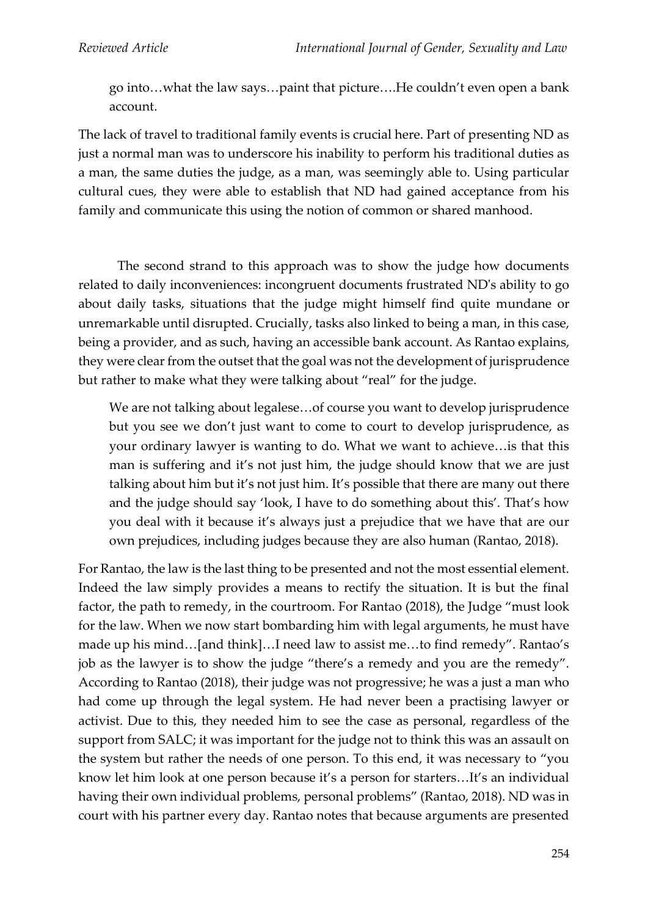go into…what the law says…paint that picture….He couldn't even open a bank account.

The lack of travel to traditional family events is crucial here. Part of presenting ND as just a normal man was to underscore his inability to perform his traditional duties as a man, the same duties the judge, as a man, was seemingly able to. Using particular cultural cues, they were able to establish that ND had gained acceptance from his family and communicate this using the notion of common or shared manhood.

The second strand to this approach was to show the judge how documents related to daily inconveniences: incongruent documents frustrated ND's ability to go about daily tasks, situations that the judge might himself find quite mundane or unremarkable until disrupted. Crucially, tasks also linked to being a man, in this case, being a provider, and as such, having an accessible bank account. As Rantao explains, they were clear from the outset that the goal was not the development of jurisprudence but rather to make what they were talking about "real" for the judge.

We are not talking about legalese…of course you want to develop jurisprudence but you see we don't just want to come to court to develop jurisprudence, as your ordinary lawyer is wanting to do. What we want to achieve…is that this man is suffering and it's not just him, the judge should know that we are just talking about him but it's not just him. It's possible that there are many out there and the judge should say 'look, I have to do something about this'. That's how you deal with it because it's always just a prejudice that we have that are our own prejudices, including judges because they are also human (Rantao, 2018).

For Rantao, the law is the last thing to be presented and not the most essential element. Indeed the law simply provides a means to rectify the situation. It is but the final factor, the path to remedy, in the courtroom. For Rantao (2018), the Judge "must look for the law. When we now start bombarding him with legal arguments, he must have made up his mind…[and think]…I need law to assist me…to find remedy". Rantao's job as the lawyer is to show the judge "there's a remedy and you are the remedy". According to Rantao (2018), their judge was not progressive; he was a just a man who had come up through the legal system. He had never been a practising lawyer or activist. Due to this, they needed him to see the case as personal, regardless of the support from SALC; it was important for the judge not to think this was an assault on the system but rather the needs of one person. To this end, it was necessary to "you know let him look at one person because it's a person for starters…It's an individual having their own individual problems, personal problems" (Rantao, 2018). ND was in court with his partner every day. Rantao notes that because arguments are presented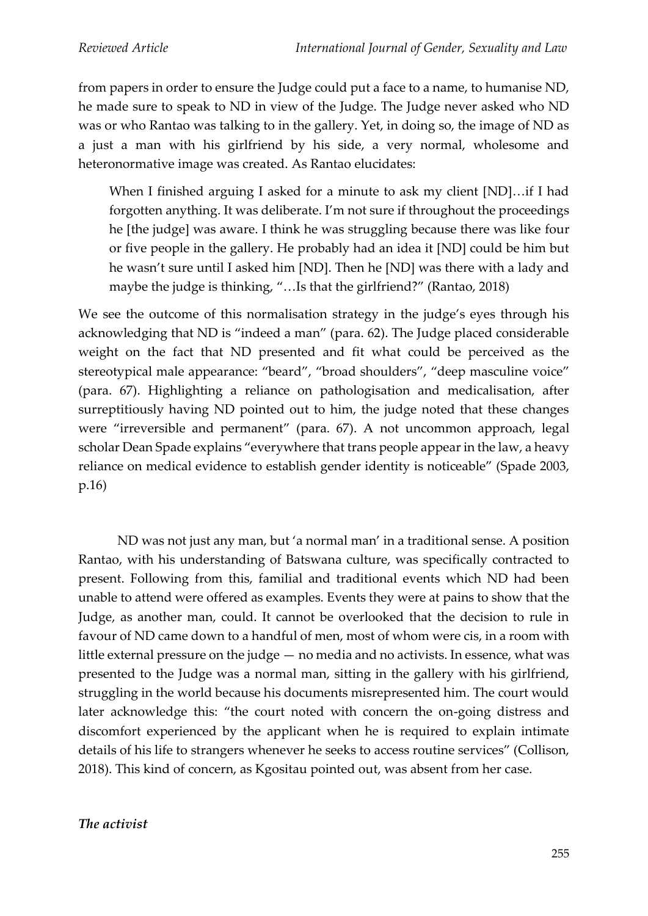from papers in order to ensure the Judge could put a face to a name, to humanise ND, he made sure to speak to ND in view of the Judge. The Judge never asked who ND was or who Rantao was talking to in the gallery. Yet, in doing so, the image of ND as a just a man with his girlfriend by his side, a very normal, wholesome and heteronormative image was created. As Rantao elucidates:

When I finished arguing I asked for a minute to ask my client [ND]…if I had forgotten anything. It was deliberate. I'm not sure if throughout the proceedings he [the judge] was aware. I think he was struggling because there was like four or five people in the gallery. He probably had an idea it [ND] could be him but he wasn't sure until I asked him [ND]. Then he [ND] was there with a lady and maybe the judge is thinking, "…Is that the girlfriend?" (Rantao, 2018)

We see the outcome of this normalisation strategy in the judge's eyes through his acknowledging that ND is "indeed a man" (para. 62). The Judge placed considerable weight on the fact that ND presented and fit what could be perceived as the stereotypical male appearance: "beard", "broad shoulders", "deep masculine voice" (para. 67). Highlighting a reliance on pathologisation and medicalisation, after surreptitiously having ND pointed out to him, the judge noted that these changes were "irreversible and permanent" (para. 67). A not uncommon approach, legal scholar Dean Spade explains "everywhere that trans people appear in the law, a heavy reliance on medical evidence to establish gender identity is noticeable" (Spade 2003, p.16)

ND was not just any man, but 'a normal man' in a traditional sense. A position Rantao, with his understanding of Batswana culture, was specifically contracted to present. Following from this, familial and traditional events which ND had been unable to attend were offered as examples. Events they were at pains to show that the Judge, as another man, could. It cannot be overlooked that the decision to rule in favour of ND came down to a handful of men, most of whom were cis, in a room with little external pressure on the judge — no media and no activists. In essence, what was presented to the Judge was a normal man, sitting in the gallery with his girlfriend, struggling in the world because his documents misrepresented him. The court would later acknowledge this: "the court noted with concern the on-going distress and discomfort experienced by the applicant when he is required to explain intimate details of his life to strangers whenever he seeks to access routine services" (Collison, 2018). This kind of concern, as Kgositau pointed out, was absent from her case.

# *The activist*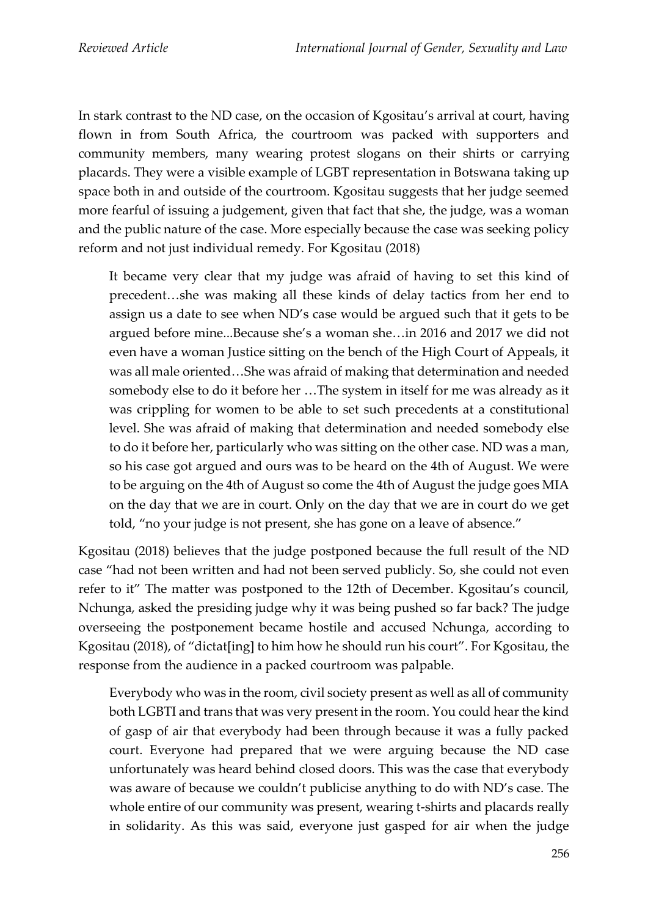In stark contrast to the ND case, on the occasion of Kgositau's arrival at court, having flown in from South Africa, the courtroom was packed with supporters and community members, many wearing protest slogans on their shirts or carrying placards. They were a visible example of LGBT representation in Botswana taking up space both in and outside of the courtroom. Kgositau suggests that her judge seemed more fearful of issuing a judgement, given that fact that she, the judge, was a woman and the public nature of the case. More especially because the case was seeking policy reform and not just individual remedy. For Kgositau (2018)

It became very clear that my judge was afraid of having to set this kind of precedent…she was making all these kinds of delay tactics from her end to assign us a date to see when ND's case would be argued such that it gets to be argued before mine...Because she's a woman she…in 2016 and 2017 we did not even have a woman Justice sitting on the bench of the High Court of Appeals, it was all male oriented…She was afraid of making that determination and needed somebody else to do it before her …The system in itself for me was already as it was crippling for women to be able to set such precedents at a constitutional level. She was afraid of making that determination and needed somebody else to do it before her, particularly who was sitting on the other case. ND was a man, so his case got argued and ours was to be heard on the 4th of August. We were to be arguing on the 4th of August so come the 4th of August the judge goes MIA on the day that we are in court. Only on the day that we are in court do we get told, "no your judge is not present, she has gone on a leave of absence."

Kgositau (2018) believes that the judge postponed because the full result of the ND case "had not been written and had not been served publicly. So, she could not even refer to it" The matter was postponed to the 12th of December. Kgositau's council, Nchunga, asked the presiding judge why it was being pushed so far back? The judge overseeing the postponement became hostile and accused Nchunga, according to Kgositau (2018), of "dictat[ing] to him how he should run his court". For Kgositau, the response from the audience in a packed courtroom was palpable.

Everybody who was in the room, civil society present as well as all of community both LGBTI and trans that was very present in the room. You could hear the kind of gasp of air that everybody had been through because it was a fully packed court. Everyone had prepared that we were arguing because the ND case unfortunately was heard behind closed doors. This was the case that everybody was aware of because we couldn't publicise anything to do with ND's case. The whole entire of our community was present, wearing t-shirts and placards really in solidarity. As this was said, everyone just gasped for air when the judge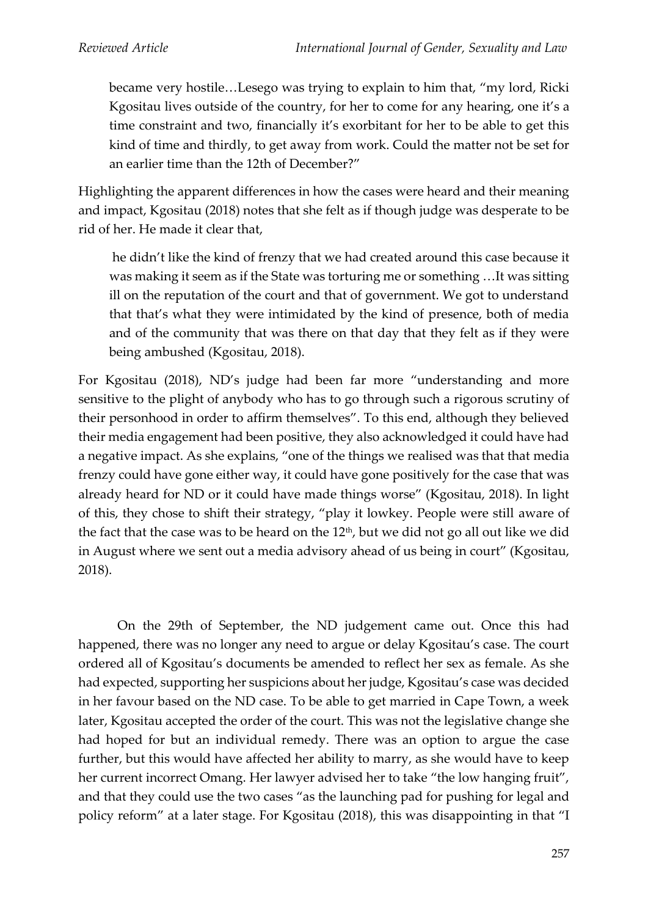became very hostile…Lesego was trying to explain to him that, "my lord, Ricki Kgositau lives outside of the country, for her to come for any hearing, one it's a time constraint and two, financially it's exorbitant for her to be able to get this kind of time and thirdly, to get away from work. Could the matter not be set for an earlier time than the 12th of December?"

Highlighting the apparent differences in how the cases were heard and their meaning and impact, Kgositau (2018) notes that she felt as if though judge was desperate to be rid of her. He made it clear that,

he didn't like the kind of frenzy that we had created around this case because it was making it seem as if the State was torturing me or something …It was sitting ill on the reputation of the court and that of government. We got to understand that that's what they were intimidated by the kind of presence, both of media and of the community that was there on that day that they felt as if they were being ambushed (Kgositau, 2018).

For Kgositau (2018), ND's judge had been far more "understanding and more sensitive to the plight of anybody who has to go through such a rigorous scrutiny of their personhood in order to affirm themselves". To this end, although they believed their media engagement had been positive, they also acknowledged it could have had a negative impact. As she explains, "one of the things we realised was that that media frenzy could have gone either way, it could have gone positively for the case that was already heard for ND or it could have made things worse" (Kgositau, 2018). In light of this, they chose to shift their strategy, "play it lowkey. People were still aware of the fact that the case was to be heard on the 12<sup>th</sup>, but we did not go all out like we did in August where we sent out a media advisory ahead of us being in court" (Kgositau, 2018).

On the 29th of September, the ND judgement came out. Once this had happened, there was no longer any need to argue or delay Kgositau's case. The court ordered all of Kgositau's documents be amended to reflect her sex as female. As she had expected, supporting her suspicions about her judge, Kgositau's case was decided in her favour based on the ND case. To be able to get married in Cape Town, a week later, Kgositau accepted the order of the court. This was not the legislative change she had hoped for but an individual remedy. There was an option to argue the case further, but this would have affected her ability to marry, as she would have to keep her current incorrect Omang. Her lawyer advised her to take "the low hanging fruit", and that they could use the two cases "as the launching pad for pushing for legal and policy reform" at a later stage. For Kgositau (2018), this was disappointing in that "I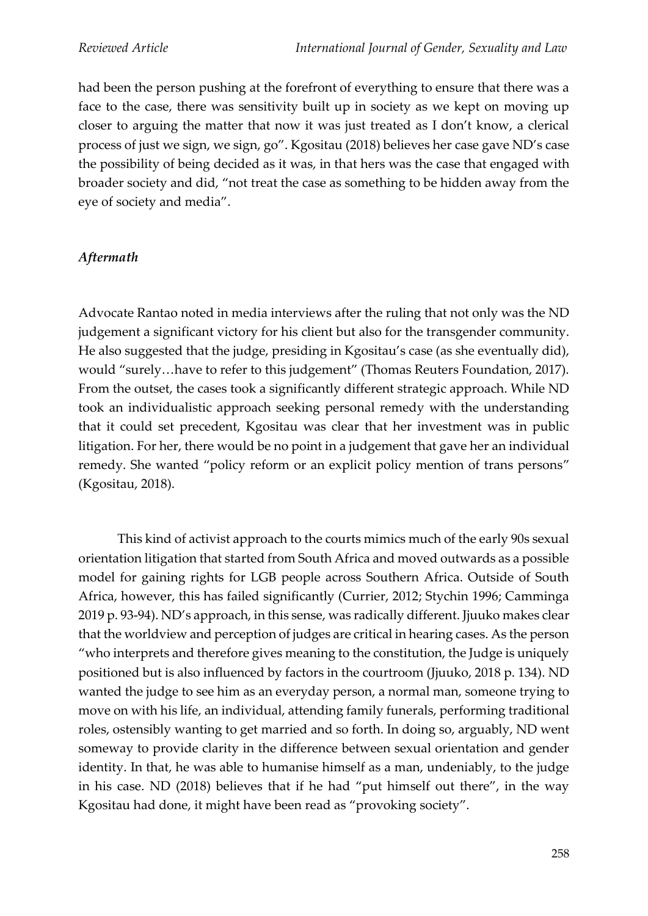had been the person pushing at the forefront of everything to ensure that there was a face to the case, there was sensitivity built up in society as we kept on moving up closer to arguing the matter that now it was just treated as I don't know, a clerical process of just we sign, we sign, go". Kgositau (2018) believes her case gave ND's case the possibility of being decided as it was, in that hers was the case that engaged with broader society and did, "not treat the case as something to be hidden away from the eye of society and media".

# *Aftermath*

Advocate Rantao noted in media interviews after the ruling that not only was the ND judgement a significant victory for his client but also for the transgender community. He also suggested that the judge, presiding in Kgositau's case (as she eventually did), would "surely…have to refer to this judgement" (Thomas Reuters Foundation, 2017). From the outset, the cases took a significantly different strategic approach. While ND took an individualistic approach seeking personal remedy with the understanding that it could set precedent, Kgositau was clear that her investment was in public litigation. For her, there would be no point in a judgement that gave her an individual remedy. She wanted "policy reform or an explicit policy mention of trans persons" (Kgositau, 2018).

This kind of activist approach to the courts mimics much of the early 90s sexual orientation litigation that started from South Africa and moved outwards as a possible model for gaining rights for LGB people across Southern Africa. Outside of South Africa, however, this has failed significantly (Currier, 2012; Stychin 1996; Camminga 2019 p. 93-94). ND's approach, in this sense, was radically different. Jjuuko makes clear that the worldview and perception of judges are critical in hearing cases. As the person "who interprets and therefore gives meaning to the constitution, the Judge is uniquely positioned but is also influenced by factors in the courtroom (Jjuuko, 2018 p. 134). ND wanted the judge to see him as an everyday person, a normal man, someone trying to move on with his life, an individual, attending family funerals, performing traditional roles, ostensibly wanting to get married and so forth. In doing so, arguably, ND went someway to provide clarity in the difference between sexual orientation and gender identity. In that, he was able to humanise himself as a man, undeniably, to the judge in his case. ND (2018) believes that if he had "put himself out there", in the way Kgositau had done, it might have been read as "provoking society".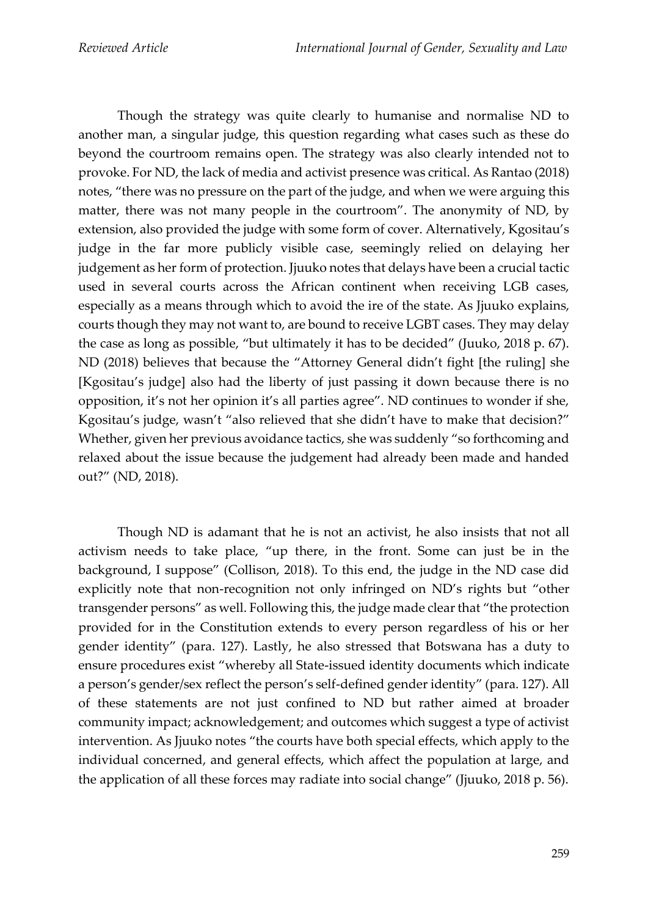Though the strategy was quite clearly to humanise and normalise ND to another man, a singular judge, this question regarding what cases such as these do beyond the courtroom remains open. The strategy was also clearly intended not to provoke. For ND, the lack of media and activist presence was critical. As Rantao (2018) notes, "there was no pressure on the part of the judge, and when we were arguing this matter, there was not many people in the courtroom". The anonymity of ND, by extension, also provided the judge with some form of cover. Alternatively, Kgositau's judge in the far more publicly visible case, seemingly relied on delaying her judgement as her form of protection. Jjuuko notes that delays have been a crucial tactic used in several courts across the African continent when receiving LGB cases, especially as a means through which to avoid the ire of the state. As Jjuuko explains, courts though they may not want to, are bound to receive LGBT cases. They may delay the case as long as possible, "but ultimately it has to be decided" (Juuko, 2018 p. 67). ND (2018) believes that because the "Attorney General didn't fight [the ruling] she [Kgositau's judge] also had the liberty of just passing it down because there is no opposition, it's not her opinion it's all parties agree". ND continues to wonder if she, Kgositau's judge, wasn't "also relieved that she didn't have to make that decision?" Whether, given her previous avoidance tactics, she was suddenly "so forthcoming and relaxed about the issue because the judgement had already been made and handed out?" (ND, 2018).

Though ND is adamant that he is not an activist, he also insists that not all activism needs to take place, "up there, in the front. Some can just be in the background, I suppose" (Collison, 2018). To this end, the judge in the ND case did explicitly note that non-recognition not only infringed on ND's rights but "other transgender persons" as well. Following this, the judge made clear that "the protection provided for in the Constitution extends to every person regardless of his or her gender identity" (para. 127). Lastly, he also stressed that Botswana has a duty to ensure procedures exist "whereby all State-issued identity documents which indicate a person's gender/sex reflect the person's self-defined gender identity" (para. 127). All of these statements are not just confined to ND but rather aimed at broader community impact; acknowledgement; and outcomes which suggest a type of activist intervention. As Jjuuko notes "the courts have both special effects, which apply to the individual concerned, and general effects, which affect the population at large, and the application of all these forces may radiate into social change" (Jjuuko, 2018 p. 56).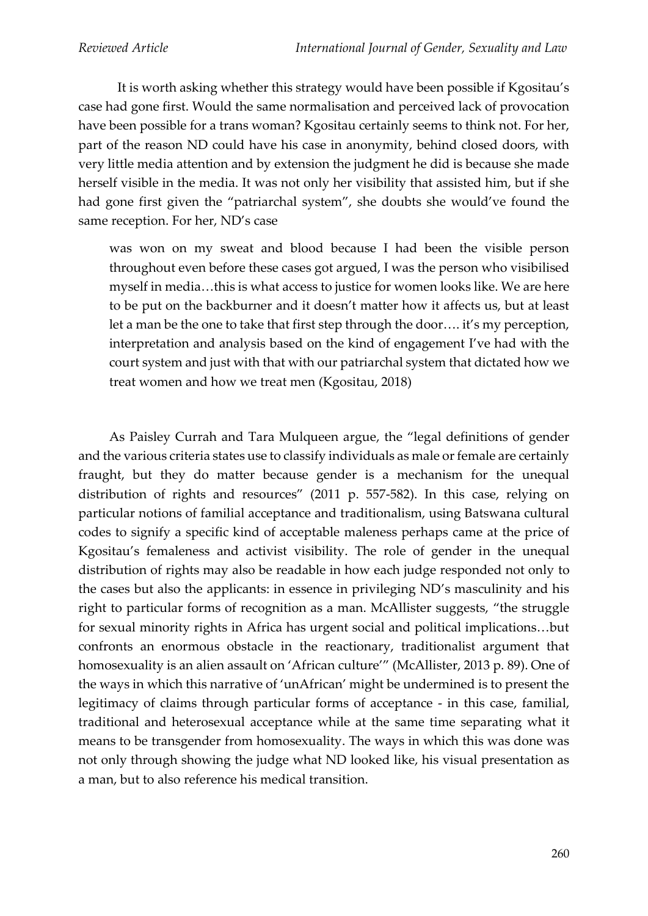It is worth asking whether this strategy would have been possible if Kgositau's case had gone first. Would the same normalisation and perceived lack of provocation have been possible for a trans woman? Kgositau certainly seems to think not. For her, part of the reason ND could have his case in anonymity, behind closed doors, with very little media attention and by extension the judgment he did is because she made herself visible in the media. It was not only her visibility that assisted him, but if she had gone first given the "patriarchal system", she doubts she would've found the same reception. For her, ND's case

was won on my sweat and blood because I had been the visible person throughout even before these cases got argued, I was the person who visibilised myself in media…this is what access to justice for women looks like. We are here to be put on the backburner and it doesn't matter how it affects us, but at least let a man be the one to take that first step through the door…. it's my perception, interpretation and analysis based on the kind of engagement I've had with the court system and just with that with our patriarchal system that dictated how we treat women and how we treat men (Kgositau, 2018)

As Paisley Currah and Tara Mulqueen argue, the "legal definitions of gender and the various criteria states use to classify individuals as male or female are certainly fraught, but they do matter because gender is a mechanism for the unequal distribution of rights and resources" (2011 p. 557-582). In this case, relying on particular notions of familial acceptance and traditionalism, using Batswana cultural codes to signify a specific kind of acceptable maleness perhaps came at the price of Kgositau's femaleness and activist visibility. The role of gender in the unequal distribution of rights may also be readable in how each judge responded not only to the cases but also the applicants: in essence in privileging ND's masculinity and his right to particular forms of recognition as a man. McAllister suggests, "the struggle for sexual minority rights in Africa has urgent social and political implications…but confronts an enormous obstacle in the reactionary, traditionalist argument that homosexuality is an alien assault on 'African culture'" (McAllister, 2013 p. 89). One of the ways in which this narrative of 'unAfrican' might be undermined is to present the legitimacy of claims through particular forms of acceptance - in this case, familial, traditional and heterosexual acceptance while at the same time separating what it means to be transgender from homosexuality. The ways in which this was done was not only through showing the judge what ND looked like, his visual presentation as a man, but to also reference his medical transition.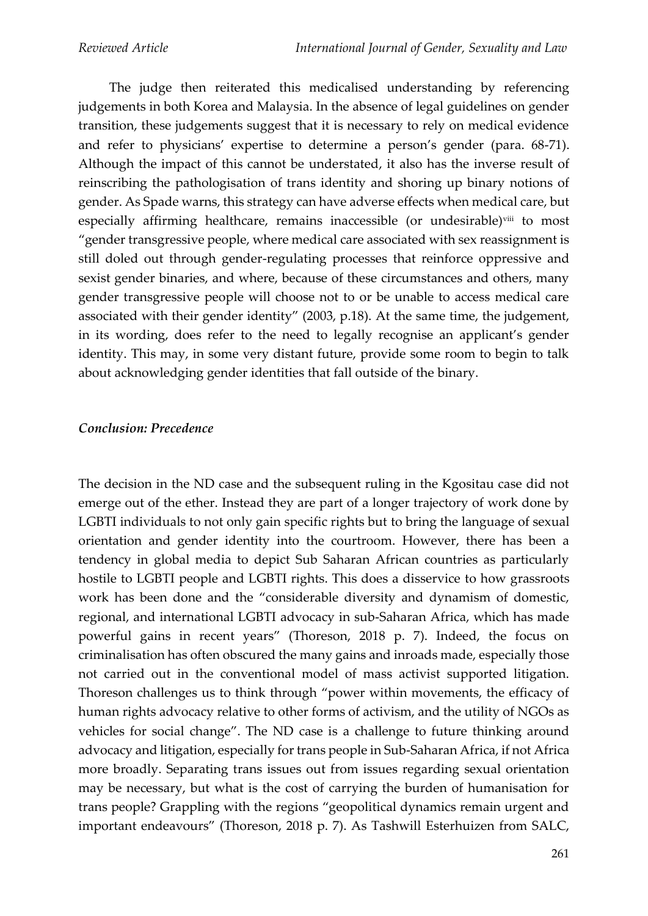The judge then reiterated this medicalised understanding by referencing judgements in both Korea and Malaysia. In the absence of legal guidelines on gender transition, these judgements suggest that it is necessary to rely on medical evidence and refer to physicians' expertise to determine a person's gender (para. 68-71). Although the impact of this cannot be understated, it also has the inverse result of reinscribing the pathologisation of trans identity and shoring up binary notions of gender. As Spade warns, this strategy can have adverse effects when medical care, but especially affirming healthcare, remains inaccessible (or undesirable)<sup>viii</sup> to most "gender transgressive people, where medical care associated with sex reassignment is still doled out through gender-regulating processes that reinforce oppressive and sexist gender binaries, and where, because of these circumstances and others, many gender transgressive people will choose not to or be unable to access medical care associated with their gender identity" (2003, p.18). At the same time, the judgement, in its wording, does refer to the need to legally recognise an applicant's gender identity. This may, in some very distant future, provide some room to begin to talk about acknowledging gender identities that fall outside of the binary.

### *Conclusion: Precedence*

The decision in the ND case and the subsequent ruling in the Kgositau case did not emerge out of the ether. Instead they are part of a longer trajectory of work done by LGBTI individuals to not only gain specific rights but to bring the language of sexual orientation and gender identity into the courtroom. However, there has been a tendency in global media to depict Sub Saharan African countries as particularly hostile to LGBTI people and LGBTI rights. This does a disservice to how grassroots work has been done and the "considerable diversity and dynamism of domestic, regional, and international LGBTI advocacy in sub-Saharan Africa, which has made powerful gains in recent years" (Thoreson, 2018 p. 7). Indeed, the focus on criminalisation has often obscured the many gains and inroads made, especially those not carried out in the conventional model of mass activist supported litigation. Thoreson challenges us to think through "power within movements, the efficacy of human rights advocacy relative to other forms of activism, and the utility of NGOs as vehicles for social change". The ND case is a challenge to future thinking around advocacy and litigation, especially for trans people in Sub-Saharan Africa, if not Africa more broadly. Separating trans issues out from issues regarding sexual orientation may be necessary, but what is the cost of carrying the burden of humanisation for trans people? Grappling with the regions "geopolitical dynamics remain urgent and important endeavours" (Thoreson, 2018 p. 7). As Tashwill Esterhuizen from SALC,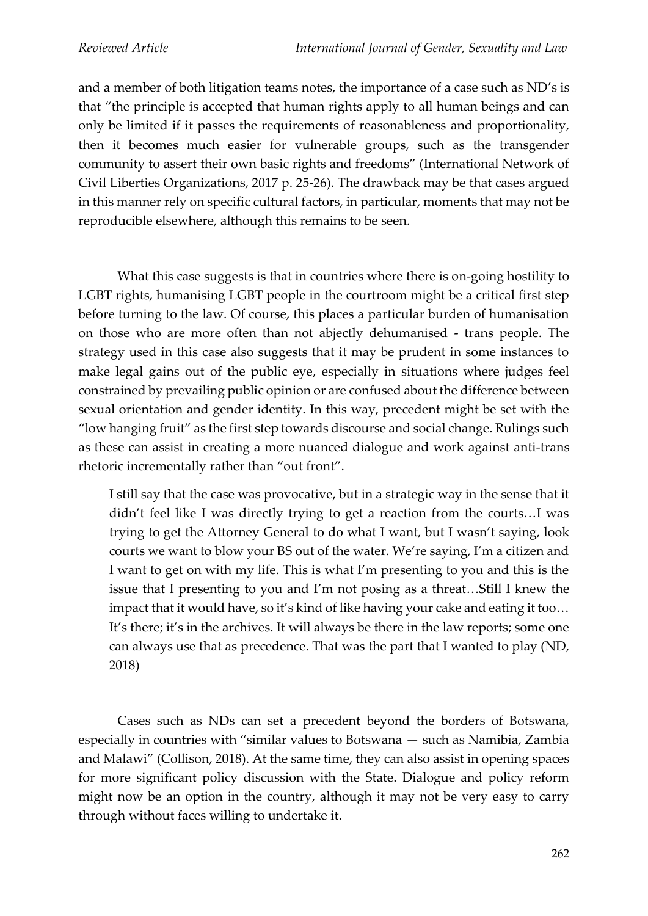and a member of both litigation teams notes, the importance of a case such as ND's is that "the principle is accepted that human rights apply to all human beings and can only be limited if it passes the requirements of reasonableness and proportionality, then it becomes much easier for vulnerable groups, such as the transgender community to assert their own basic rights and freedoms" (International Network of Civil Liberties Organizations, 2017 p. 25-26). The drawback may be that cases argued in this manner rely on specific cultural factors, in particular, moments that may not be reproducible elsewhere, although this remains to be seen.

What this case suggests is that in countries where there is on-going hostility to LGBT rights, humanising LGBT people in the courtroom might be a critical first step before turning to the law. Of course, this places a particular burden of humanisation on those who are more often than not abjectly dehumanised - trans people. The strategy used in this case also suggests that it may be prudent in some instances to make legal gains out of the public eye, especially in situations where judges feel constrained by prevailing public opinion or are confused about the difference between sexual orientation and gender identity. In this way, precedent might be set with the "low hanging fruit" as the first step towards discourse and social change. Rulings such as these can assist in creating a more nuanced dialogue and work against anti-trans rhetoric incrementally rather than "out front".

I still say that the case was provocative, but in a strategic way in the sense that it didn't feel like I was directly trying to get a reaction from the courts…I was trying to get the Attorney General to do what I want, but I wasn't saying, look courts we want to blow your BS out of the water. We're saying, I'm a citizen and I want to get on with my life. This is what I'm presenting to you and this is the issue that I presenting to you and I'm not posing as a threat…Still I knew the impact that it would have, so it's kind of like having your cake and eating it too… It's there; it's in the archives. It will always be there in the law reports; some one can always use that as precedence. That was the part that I wanted to play (ND, 2018)

Cases such as NDs can set a precedent beyond the borders of Botswana, especially in countries with "similar values to Botswana — such as Namibia, Zambia and Malawi" (Collison, 2018). At the same time, they can also assist in opening spaces for more significant policy discussion with the State. Dialogue and policy reform might now be an option in the country, although it may not be very easy to carry through without faces willing to undertake it.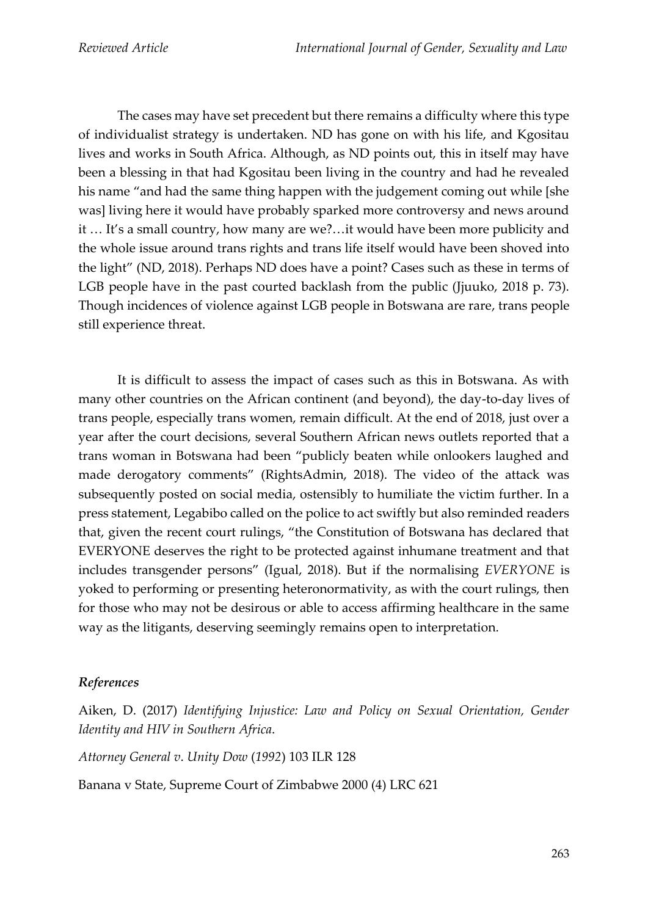The cases may have set precedent but there remains a difficulty where this type of individualist strategy is undertaken. ND has gone on with his life, and Kgositau lives and works in South Africa. Although, as ND points out, this in itself may have been a blessing in that had Kgositau been living in the country and had he revealed his name "and had the same thing happen with the judgement coming out while [she was] living here it would have probably sparked more controversy and news around it … It's a small country, how many are we?…it would have been more publicity and the whole issue around trans rights and trans life itself would have been shoved into the light" (ND, 2018). Perhaps ND does have a point? Cases such as these in terms of LGB people have in the past courted backlash from the public (Jjuuko, 2018 p. 73). Though incidences of violence against LGB people in Botswana are rare, trans people still experience threat.

It is difficult to assess the impact of cases such as this in Botswana. As with many other countries on the African continent (and beyond), the day-to-day lives of trans people, especially trans women, remain difficult. At the end of 2018, just over a year after the court decisions, several Southern African news outlets reported that a trans woman in Botswana had been "publicly beaten while onlookers laughed and made derogatory comments" (RightsAdmin, 2018). The video of the attack was subsequently posted on social media, ostensibly to humiliate the victim further. In a press statement, Legabibo called on the police to act swiftly but also reminded readers that, given the recent court rulings, "the Constitution of Botswana has declared that EVERYONE deserves the right to be protected against inhumane treatment and that includes transgender persons" (Igual, 2018). But if the normalising *EVERYONE* is yoked to performing or presenting heteronormativity, as with the court rulings, then for those who may not be desirous or able to access affirming healthcare in the same way as the litigants, deserving seemingly remains open to interpretation.

## *References*

Aiken, D. (2017) *Identifying Injustice: Law and Policy on Sexual Orientation, Gender Identity and HIV in Southern Africa*.

*Attorney General v*. *Unity Dow* (*1992*) 103 ILR 128

Banana v State, Supreme Court of Zimbabwe 2000 (4) LRC 621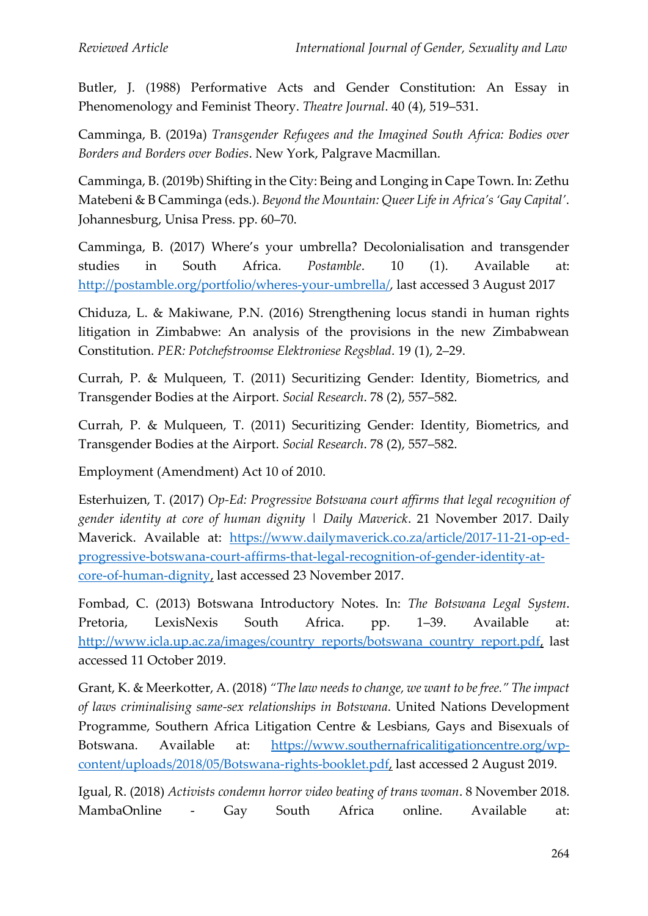Butler, J. (1988) Performative Acts and Gender Constitution: An Essay in Phenomenology and Feminist Theory. *Theatre Journal*. 40 (4), 519–531.

Camminga, B. (2019a) *Transgender Refugees and the Imagined South Africa: Bodies over Borders and Borders over Bodies*. New York, Palgrave Macmillan.

Camminga, B. (2019b) Shifting in the City: Being and Longing in Cape Town. In: Zethu Matebeni & B Camminga (eds.). *Beyond the Mountain: Queer Life in Africa's 'Gay Capital'*. Johannesburg, Unisa Press. pp. 60–70.

Camminga, B. (2017) Where's your umbrella? Decolonialisation and transgender studies in South Africa. *Postamble*. 10 (1). Available at: [http://postamble.org/portfolio/wheres-your-umbrella/,](http://postamble.org/portfolio/wheres-your-umbrella/) last accessed 3 August 2017

Chiduza, L. & Makiwane, P.N. (2016) Strengthening locus standi in human rights litigation in Zimbabwe: An analysis of the provisions in the new Zimbabwean Constitution. *PER: Potchefstroomse Elektroniese Regsblad*. 19 (1), 2–29.

Currah, P. & Mulqueen, T. (2011) Securitizing Gender: Identity, Biometrics, and Transgender Bodies at the Airport. *Social Research*. 78 (2), 557–582.

Currah, P. & Mulqueen, T. (2011) Securitizing Gender: Identity, Biometrics, and Transgender Bodies at the Airport. *Social Research*. 78 (2), 557–582.

Employment (Amendment) Act 10 of 2010.

Esterhuizen, T. (2017) *Op-Ed: Progressive Botswana court affirms that legal recognition of gender identity at core of human dignity | Daily Maverick*. 21 November 2017. Daily Maverick. Available at: [https://www.dailymaverick.co.za/article/2017-11-21-op-ed](https://www.dailymaverick.co.za/article/2017-11-21-op-ed-progressive-botswana-court-affirms-that-legal-recognition-of-gender-identity-at-core-of-human-dignity)[progressive-botswana-court-affirms-that-legal-recognition-of-gender-identity-at](https://www.dailymaverick.co.za/article/2017-11-21-op-ed-progressive-botswana-court-affirms-that-legal-recognition-of-gender-identity-at-core-of-human-dignity)[core-of-human-dignity,](https://www.dailymaverick.co.za/article/2017-11-21-op-ed-progressive-botswana-court-affirms-that-legal-recognition-of-gender-identity-at-core-of-human-dignity) last accessed 23 November 2017.

Fombad, C. (2013) Botswana Introductory Notes. In: *The Botswana Legal System*. Pretoria, LexisNexis South Africa. pp. 1–39. Available at: [http://www.icla.up.ac.za/images/country\\_reports/botswana\\_country\\_report.pdf,](http://www.icla.up.ac.za/images/country_reports/botswana_country_report.pdf) last accessed 11 October 2019.

Grant, K. & Meerkotter, A. (2018) *"The law needs to change, we want to be free." The impact of laws criminalising same-sex relationships in Botswana*. United Nations Development Programme, Southern Africa Litigation Centre & Lesbians, Gays and Bisexuals of Botswana. Available at: [https://www.southernafricalitigationcentre.org/wp](https://www.southernafricalitigationcentre.org/wp-content/uploads/2018/05/Botswana-rights-booklet.pdf)[content/uploads/2018/05/Botswana-rights-booklet.pdf,](https://www.southernafricalitigationcentre.org/wp-content/uploads/2018/05/Botswana-rights-booklet.pdf) last accessed 2 August 2019.

Igual, R. (2018) *Activists condemn horror video beating of trans woman*. 8 November 2018. MambaOnline - Gay South Africa online. Available at: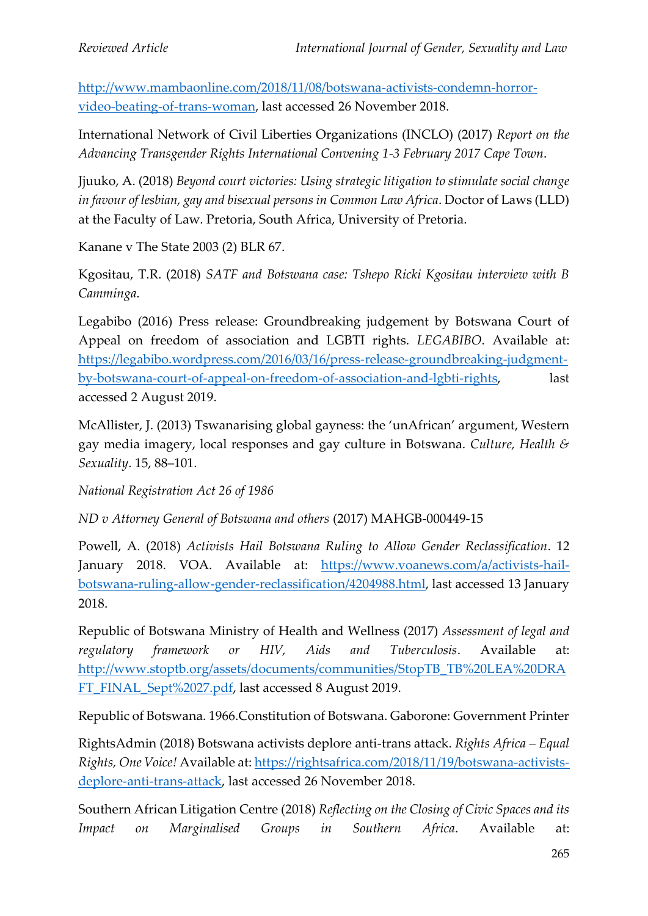[http://www.mambaonline.com/2018/11/08/botswana-activists-condemn-horror](http://www.mambaonline.com/2018/11/08/botswana-activists-condemn-horror-video-beating-of-trans-woman)[video-beating-of-trans-woman,](http://www.mambaonline.com/2018/11/08/botswana-activists-condemn-horror-video-beating-of-trans-woman) last accessed 26 November 2018.

International Network of Civil Liberties Organizations (INCLO) (2017) *Report on the Advancing Transgender Rights International Convening 1-3 February 2017 Cape Town*.

Jjuuko, A. (2018) *Beyond court victories: Using strategic litigation to stimulate social change in favour of lesbian, gay and bisexual persons in Common Law Africa*. Doctor of Laws (LLD) at the Faculty of Law. Pretoria, South Africa, University of Pretoria.

Kanane v The State 2003 (2) BLR 67.

Kgositau, T.R. (2018) *SATF and Botswana case: Tshepo Ricki Kgositau interview with B Camminga*.

Legabibo (2016) Press release: Groundbreaking judgement by Botswana Court of Appeal on freedom of association and LGBTI rights. *LEGABIBO*. Available at: [https://legabibo.wordpress.com/2016/03/16/press-release-groundbreaking-judgment](https://legabibo.wordpress.com/2016/03/16/press-release-groundbreaking-judgment-by-botswana-court-of-appeal-on-freedom-of-association-and-lgbti-rights)[by-botswana-court-of-appeal-on-freedom-of-association-and-lgbti-rights,](https://legabibo.wordpress.com/2016/03/16/press-release-groundbreaking-judgment-by-botswana-court-of-appeal-on-freedom-of-association-and-lgbti-rights) last accessed 2 August 2019.

McAllister, J. (2013) Tswanarising global gayness: the 'unAfrican' argument, Western gay media imagery, local responses and gay culture in Botswana. *Culture, Health & Sexuality*. 15, 88–101.

*National Registration Act 26 of 1986*

*ND v Attorney General of Botswana and others* (2017) MAHGB-000449-15

Powell, A. (2018) *Activists Hail Botswana Ruling to Allow Gender Reclassification*. 12 January 2018. VOA. Available at: [https://www.voanews.com/a/activists-hail](https://www.voanews.com/a/activists-hail-botswana-ruling-allow-gender-reclassification/4204988.html)[botswana-ruling-allow-gender-reclassification/4204988.html,](https://www.voanews.com/a/activists-hail-botswana-ruling-allow-gender-reclassification/4204988.html) last accessed 13 January 2018.

Republic of Botswana Ministry of Health and Wellness (2017) *Assessment of legal and regulatory framework or HIV, Aids and Tuberculosis*. Available at: [http://www.stoptb.org/assets/documents/communities/StopTB\\_TB%20LEA%20DRA](http://www.stoptb.org/assets/documents/communities/StopTB_TB%20LEA%20DRAFT_FINAL_Sept%2027.pdf) [FT\\_FINAL\\_Sept%2027.pdf,](http://www.stoptb.org/assets/documents/communities/StopTB_TB%20LEA%20DRAFT_FINAL_Sept%2027.pdf) last accessed 8 August 2019.

Republic of Botswana. 1966.Constitution of Botswana. Gaborone: Government Printer

RightsAdmin (2018) Botswana activists deplore anti-trans attack. *Rights Africa – Equal Rights, One Voice!* Available at: [https://rightsafrica.com/2018/11/19/botswana-activists](https://rightsafrica.com/2018/11/19/botswana-activists-deplore-anti-trans-attack)[deplore-anti-trans-attack,](https://rightsafrica.com/2018/11/19/botswana-activists-deplore-anti-trans-attack) last accessed 26 November 2018.

Southern African Litigation Centre (2018) *Reflecting on the Closing of Civic Spaces and its Impact on Marginalised Groups in Southern Africa*. Available at: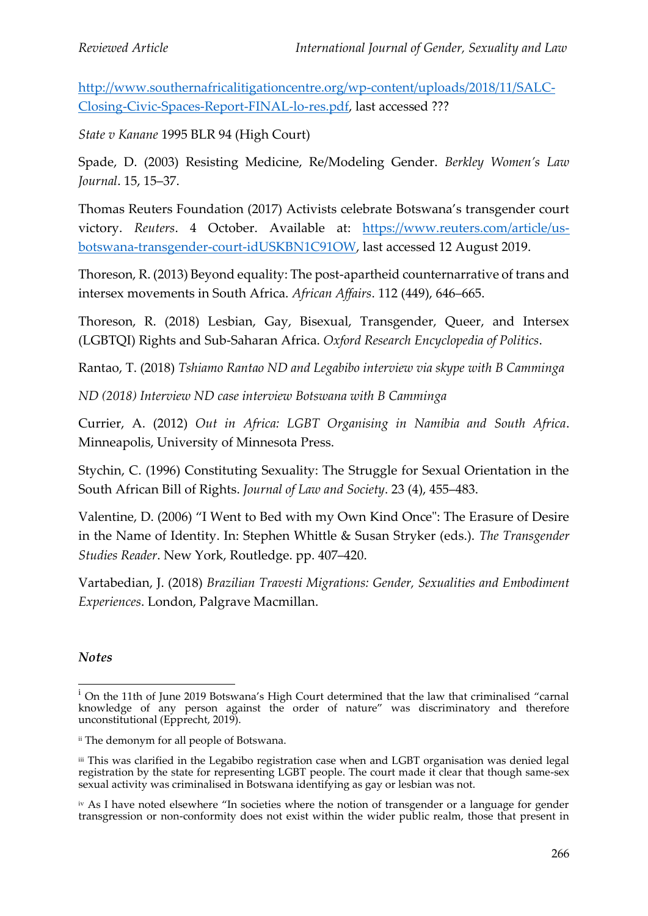[http://www.southernafricalitigationcentre.org/wp-content/uploads/2018/11/SALC-](http://www.southernafricalitigationcentre.org/wp-content/uploads/2018/11/SALC-Closing-Civic-Spaces-Report-FINAL-lo-res.pdf)[Closing-Civic-Spaces-Report-FINAL-lo-res.pdf,](http://www.southernafricalitigationcentre.org/wp-content/uploads/2018/11/SALC-Closing-Civic-Spaces-Report-FINAL-lo-res.pdf) last accessed ???

*State v Kanane* 1995 BLR 94 (High Court)

Spade, D. (2003) Resisting Medicine, Re/Modeling Gender. *Berkley Women's Law Journal*. 15, 15–37.

Thomas Reuters Foundation (2017) Activists celebrate Botswana's transgender court victory. *Reuters*. 4 October. Available at: [https://www.reuters.com/article/us](https://www.reuters.com/article/us-botswana-transgender-court-idUSKBN1C91OW)[botswana-transgender-court-idUSKBN1C91OW,](https://www.reuters.com/article/us-botswana-transgender-court-idUSKBN1C91OW) last accessed 12 August 2019.

Thoreson, R. (2013) Beyond equality: The post-apartheid counternarrative of trans and intersex movements in South Africa. *African Affairs*. 112 (449), 646–665.

Thoreson, R. (2018) Lesbian, Gay, Bisexual, Transgender, Queer, and Intersex (LGBTQI) Rights and Sub-Saharan Africa. *Oxford Research Encyclopedia of Politics*.

Rantao, T. (2018) *Tshiamo Rantao ND and Legabibo interview via skype with B Camminga*

*ND (2018) Interview ND case interview Botswana with B Camminga*

Currier, A. (2012) *Out in Africa: LGBT Organising in Namibia and South Africa*. Minneapolis, University of Minnesota Press.

Stychin, C. (1996) Constituting Sexuality: The Struggle for Sexual Orientation in the South African Bill of Rights. *Journal of Law and Society*. 23 (4), 455–483.

Valentine, D. (2006) "I Went to Bed with my Own Kind Once": The Erasure of Desire in the Name of Identity. In: Stephen Whittle & Susan Stryker (eds.). *The Transgender Studies Reader*. New York, Routledge. pp. 407–420.

Vartabedian, J. (2018) *Brazilian Travesti Migrations: Gender, Sexualities and Embodiment Experiences*. London, Palgrave Macmillan.

## *Notes*

<sup>&</sup>lt;sup>i</sup> On the 11th of June 2019 Botswana's High Court determined that the law that criminalised "carnal knowledge of any person against the order of nature" was discriminatory and therefore unconstitutional (Epprecht, 2019).

ii The demonym for all people of Botswana.

iii This was clarified in the Legabibo registration case when and LGBT organisation was denied legal registration by the state for representing LGBT people. The court made it clear that though same-sex sexual activity was criminalised in Botswana identifying as gay or lesbian was not.

iv As I have noted elsewhere "In societies where the notion of transgender or a language for gender transgression or non-conformity does not exist within the wider public realm, those that present in